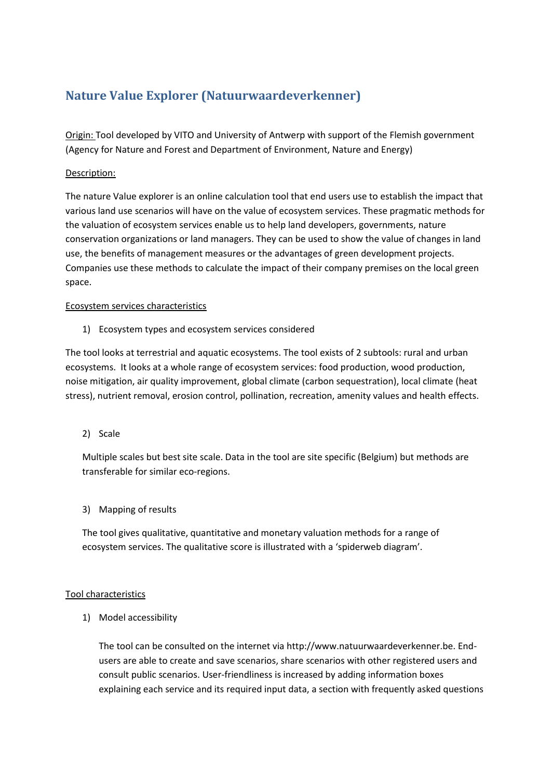## **Nature Value Explorer (Natuurwaardeverkenner)**

Origin: Tool developed by VITO and University of Antwerp with support of the Flemish government (Agency for Nature and Forest and Department of Environment, Nature and Energy)

## Description:

The nature Value explorer is an online calculation tool that end users use to establish the impact that various land use scenarios will have on the value of ecosystem services. These pragmatic methods for the valuation of ecosystem services enable us to help land developers, governments, nature conservation organizations or land managers. They can be used to show the value of changes in land use, the benefits of management measures or the advantages of green development projects. Companies use these methods to calculate the impact of their company premises on the local green space.

## Ecosystem services characteristics

1) Ecosystem types and ecosystem services considered

The tool looks at terrestrial and aquatic ecosystems. The tool exists of 2 subtools: rural and urban ecosystems. It looks at a whole range of ecosystem services: food production, wood production, noise mitigation, air quality improvement, global climate (carbon sequestration), local climate (heat stress), nutrient removal, erosion control, pollination, recreation, amenity values and health effects.

2) Scale

Multiple scales but best site scale. Data in the tool are site specific (Belgium) but methods are transferable for similar eco-regions.

3) Mapping of results

The tool gives qualitative, quantitative and monetary valuation methods for a range of ecosystem services. The qualitative score is illustrated with a 'spiderweb diagram'.

## Tool characteristics

1) Model accessibility

The tool can be consulted on the internet via http://www.natuurwaardeverkenner.be. Endusers are able to create and save scenarios, share scenarios with other registered users and consult public scenarios. User-friendliness is increased by adding information boxes explaining each service and its required input data, a section with frequently asked questions